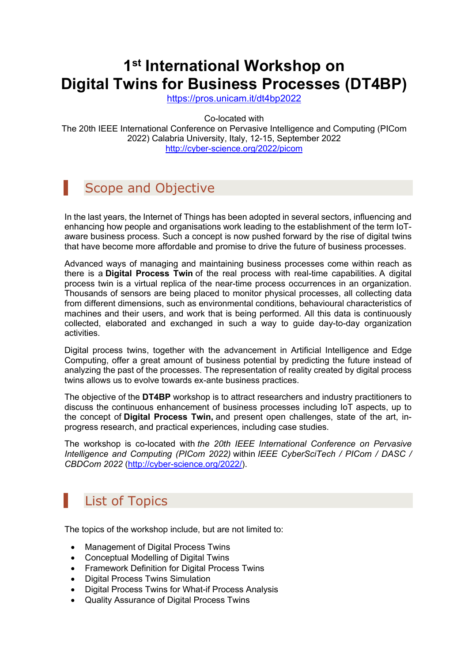# **1st International Workshop on Digital Twins for Business Processes (DT4BP)**

https://pros.unicam.it/dt4bp2022

Co-located with

The 20th IEEE International Conference on Pervasive Intelligence and Computing (PICom 2022) Calabria University, Italy, 12-15, September 2022 http://cyber-science.org/2022/picom

### Scope and Objective

In the last years, the Internet of Things has been adopted in several sectors, influencing and enhancing how people and organisations work leading to the establishment of the term IoTaware business process. Such a concept is now pushed forward by the rise of digital twins that have become more affordable and promise to drive the future of business processes.

Advanced ways of managing and maintaining business processes come within reach as there is a **Digital Process Twin** of the real process with real-time capabilities. A digital process twin is a virtual replica of the near-time process occurrences in an organization. Thousands of sensors are being placed to monitor physical processes, all collecting data from different dimensions, such as environmental conditions, behavioural characteristics of machines and their users, and work that is being performed. All this data is continuously collected, elaborated and exchanged in such a way to guide day-to-day organization activities.

Digital process twins, together with the advancement in Artificial Intelligence and Edge Computing, offer a great amount of business potential by predicting the future instead of analyzing the past of the processes. The representation of reality created by digital process twins allows us to evolve towards ex-ante business practices.

The objective of the **DT4BP** workshop is to attract researchers and industry practitioners to discuss the continuous enhancement of business processes including IoT aspects, up to the concept of **Digital Process Twin,** and present open challenges, state of the art, inprogress research, and practical experiences, including case studies.

The workshop is co-located with *the 20th IEEE International Conference on Pervasive Intelligence and Computing (PICom 2022)* within *IEEE CyberSciTech / PICom / DASC / CBDCom 2022* (http://cyber-science.org/2022/).

## List of Topics

The topics of the workshop include, but are not limited to:

- Management of Digital Process Twins
- Conceptual Modelling of Digital Twins
- Framework Definition for Digital Process Twins
- Digital Process Twins Simulation
- Digital Process Twins for What-if Process Analysis
- Quality Assurance of Digital Process Twins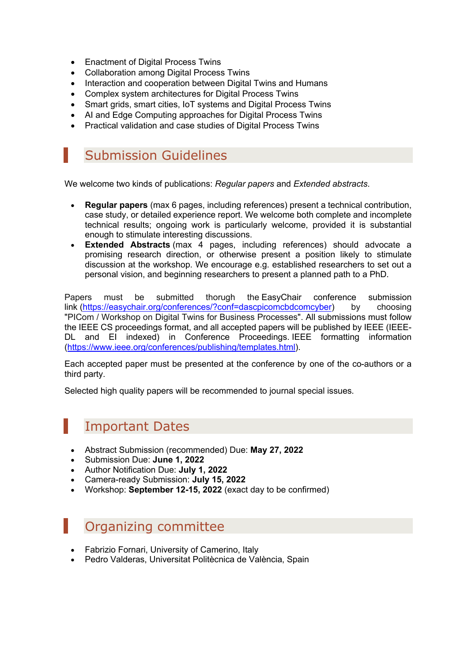- Enactment of Digital Process Twins
- Collaboration among Digital Process Twins
- Interaction and cooperation between Digital Twins and Humans
- Complex system architectures for Digital Process Twins
- Smart grids, smart cities, IoT systems and Digital Process Twins
- AI and Edge Computing approaches for Digital Process Twins
- Practical validation and case studies of Digital Process Twins

#### Submission Guidelines

We welcome two kinds of publications: *Regular papers* and *Extended abstracts*.

- **Regular papers** (max 6 pages, including references) present a technical contribution, case study, or detailed experience report. We welcome both complete and incomplete technical results; ongoing work is particularly welcome, provided it is substantial enough to stimulate interesting discussions.
- **Extended Abstracts** (max 4 pages, including references) should advocate a promising research direction, or otherwise present a position likely to stimulate discussion at the workshop. We encourage e.g. established researchers to set out a personal vision, and beginning researchers to present a planned path to a PhD.

Papers must be submitted thorugh the EasyChair conference submission link (https://easychair.org/conferences/?conf=dascpicomcbdcomcyber) by choosing "PICom / Workshop on Digital Twins for Business Processes". All submissions must follow the IEEE CS proceedings format, and all accepted papers will be published by IEEE (IEEE-DL and EI indexed) in Conference Proceedings. IEEE formatting information (https://www.ieee.org/conferences/publishing/templates.html).

Each accepted paper must be presented at the conference by one of the co-authors or a third party.

Selected high quality papers will be recommended to journal special issues.

#### Important Dates

- Abstract Submission (recommended) Due: **May 27, 2022**
- Submission Due: **June 1, 2022**
- Author Notification Due: **July 1, 2022**
- Camera-ready Submission: **July 15, 2022**
- Workshop: **September 12-15, 2022** (exact day to be confirmed)

Organizing committee

- Fabrizio Fornari, University of Camerino, Italy
- Pedro Valderas, Universitat Politècnica de València, Spain